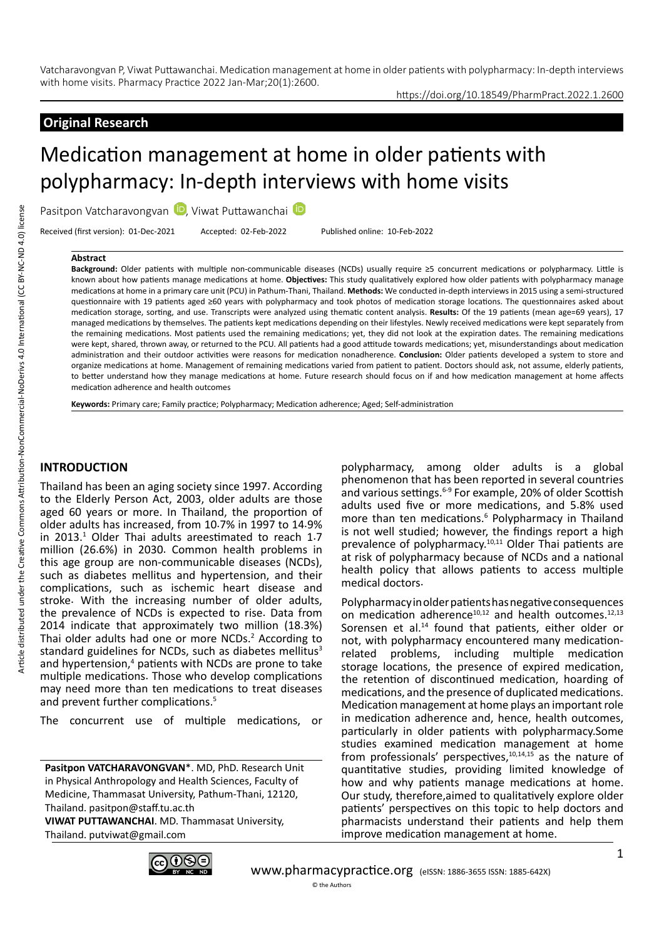## **Original Research**

# Medication management at home in older patients with polypharmacy: In-depth interviews with home visits

Pasitpon Vatcharavongvan D, Viwat Puttawanchai

Received (first version): 01-Dec-2021 Accepted: 02-Feb-2022 Published online: 10-Feb-2022

#### **Abstract**

**Background:** Older patients with multiple non-communicable diseases (NCDs) usually require ≥5 concurrent medications or polypharmacy. Little is known about how patients manage medications at home. **Objectives:** This study qualitatively explored how older patients with polypharmacy manage medications at home in a primary care unit (PCU) in Pathum-Thani, Thailand. **Methods:** We conducted in-depth interviews in 2015 using a semi-structured questionnaire with 19 patients aged ≥60 years with polypharmacy and took photos of medication storage locations. The questionnaires asked about medication storage, sorting, and use. Transcripts were analyzed using thematic content analysis. **Results:** Of the 19 patients (mean age=69 years), 17 managed medications by themselves. The patients kept medications depending on their lifestyles. Newly received medications were kept separately from the remaining medications. Most patients used the remaining medications; yet, they did not look at the expiration dates. The remaining medications were kept, shared, thrown away, or returned to the PCU. All patients had a good attitude towards medications; yet, misunderstandings about medication administration and their outdoor activities were reasons for medication nonadherence. **Conclusion:** Older patients developed a system to store and organize medications at home. Management of remaining medications varied from patient to patient. Doctors should ask, not assume, elderly patients, to better understand how they manage medications at home. Future research should focus on if and how medication management at home affects medication adherence and health outcomes

**Keywords:** Primary care; Family practice; Polypharmacy; Medication adherence; Aged; Self-administration

## **INTRODUCTION**

Thailand has been an aging society since 1997. According to the Elderly Person Act, 2003, older adults are those aged 60 years or more. In Thailand, the proportion of older adults has increased, from 10.7% in 1997 to 14.9% in 2013.<sup>1</sup> Older Thai adults areestimated to reach 1.7 million (26.6%) in 2030. Common health problems in this age group are non-communicable diseases (NCDs), such as diabetes mellitus and hypertension, and their complications, such as ischemic heart disease and stroke. With the increasing number of older adults, the prevalence of NCDs is expected to rise. Data from 2014 indicate that approximately two million (18.3%) Thai older adults had one or more NCDs.<sup>2</sup> According to standard guidelines for NCDs, such as diabetes mellitus<sup>3</sup> and hypertension,<sup>4</sup> patients with NCDs are prone to take multiple medications. Those who develop complications may need more than ten medications to treat diseases and prevent further complications.<sup>5</sup>

The concurrent use of multiple medications, or

**Pasitpon VATCHARAVONGVAN**\*. MD, PhD. Research Unit in Physical Anthropology and Health Sciences, Faculty of Medicine, Thammasat University, Pathum-Thani, 12120, Thailand. pasitpon@staff.tu.ac.th **VIWAT PUTTAWANCHAI**. MD. Thammasat University, Thailand. putviwat@gmail.com

polypharmacy, among older adults is a global phenomenon that has been reported in several countries and various settings.<sup>6-9</sup> For example, 20% of older Scottish adults used five or more medications, and 5.8% used more than ten medications.<sup>6</sup> Polypharmacy in Thailand is not well studied; however, the findings report a high prevalence of polypharmacy.<sup>10,11</sup> Older Thai patients are at risk of polypharmacy because of NCDs and a national health policy that allows patients to access multiple medical doctors.

https://doi.org/10.18549/PharmPract.2022.1.2600

Polypharmacy in older patients has negative consequences on medication adherence<sup>10,12</sup> and health outcomes.<sup>12,13</sup> Sorensen et al.<sup>14</sup> found that patients, either older or not, with polypharmacy encountered many medicationrelated problems, including multiple medication storage locations, the presence of expired medication, the retention of discontinued medication, hoarding of medications, and the presence of duplicated medications. Medication management at home plays an important role in medication adherence and, hence, health outcomes, particularly in older patients with polypharmacy.Some studies examined medication management at home from professionals' perspectives, $10,14,15$  as the nature of quantitative studies, providing limited knowledge of how and why patients manage medications at home. Our study, therefore,aimed to qualitatively explore older patients' perspectives on this topic to help doctors and pharmacists understand their patients and help them improve medication management at home.

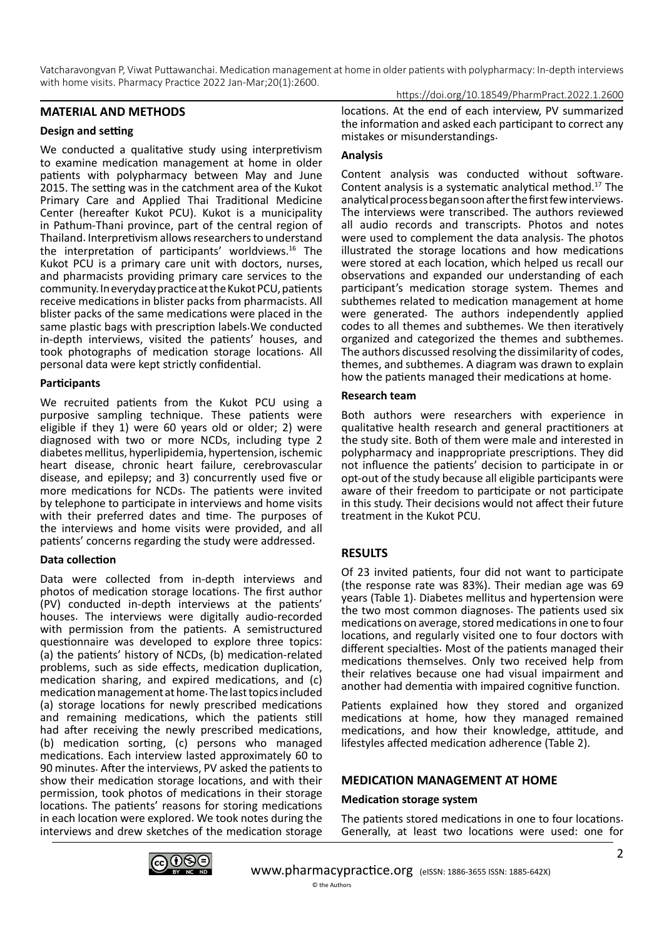Vatcharavongvan P, Viwat Puttawanchai. Medication management at home in older patients with polypharmacy: In-depth interviews with home visits. Pharmacy Practice 2022 Jan-Mar;20(1):2600. https://doi.org/10.18549/PharmPract.2022.1.2600

#### **MATERIAL AND METHODS**

#### **Design and setting**

We conducted a qualitative study using interpretivism to examine medication management at home in older patients with polypharmacy between May and June 2015. The setting was in the catchment area of the Kukot Primary Care and Applied Thai Traditional Medicine Center (hereafter Kukot PCU). Kukot is a municipality in Pathum-Thani province, part of the central region of Thailand. Interpretivism allows researchers to understand the interpretation of participants' worldviews.16 The Kukot PCU is a primary care unit with doctors, nurses, and pharmacists providing primary care services to the community. In everyday practice at the Kukot PCU, patients receive medications in blister packs from pharmacists. All blister packs of the same medications were placed in the same plastic bags with prescription labels.We conducted in-depth interviews, visited the patients' houses, and took photographs of medication storage locations. All personal data were kept strictly confidential.

#### **Participants**

We recruited patients from the Kukot PCU using a purposive sampling technique. These patients were eligible if they 1) were 60 years old or older; 2) were diagnosed with two or more NCDs, including type 2 diabetes mellitus, hyperlipidemia, hypertension, ischemic heart disease, chronic heart failure, cerebrovascular disease, and epilepsy; and 3) concurrently used five or more medications for NCDs. The patients were invited by telephone to participate in interviews and home visits with their preferred dates and time. The purposes of the interviews and home visits were provided, and all patients' concerns regarding the study were addressed.

#### **Data collection**

Data were collected from in-depth interviews and photos of medication storage locations. The first author (PV) conducted in-depth interviews at the patients' houses. The interviews were digitally audio-recorded with permission from the patients. A semistructured questionnaire was developed to explore three topics: (a) the patients' history of NCDs, (b) medication-related problems, such as side effects, medication duplication, medication sharing, and expired medications, and (c) medication management at home. The last topics included (a) storage locations for newly prescribed medications and remaining medications, which the patients still had after receiving the newly prescribed medications, (b) medication sorting, (c) persons who managed medications. Each interview lasted approximately 60 to 90 minutes. After the interviews, PV asked the patients to show their medication storage locations, and with their permission, took photos of medications in their storage locations. The patients' reasons for storing medications in each location were explored. We took notes during the interviews and drew sketches of the medication storage

locations. At the end of each interview, PV summarized the information and asked each participant to correct any mistakes or misunderstandings.

## **Analysis**

Content analysis was conducted without software. Content analysis is a systematic analytical method.17 The analytical process began soon after the first few interviews. The interviews were transcribed. The authors reviewed all audio records and transcripts. Photos and notes were used to complement the data analysis. The photos illustrated the storage locations and how medications were stored at each location, which helped us recall our observations and expanded our understanding of each participant's medication storage system. Themes and subthemes related to medication management at home were generated. The authors independently applied codes to all themes and subthemes. We then iteratively organized and categorized the themes and subthemes. The authors discussed resolving the dissimilarity of codes, themes, and subthemes. A diagram was drawn to explain how the patients managed their medications at home.

#### **Research team**

Both authors were researchers with experience in qualitative health research and general practitioners at the study site. Both of them were male and interested in polypharmacy and inappropriate prescriptions. They did not influence the patients' decision to participate in or opt-out of the study because all eligible participants were aware of their freedom to participate or not participate in this study. Their decisions would not affect their future treatment in the Kukot PCU.

## **RESULTS**

Of 23 invited patients, four did not want to participate (the response rate was 83%). Their median age was 69 years (Table 1). Diabetes mellitus and hypertension were the two most common diagnoses. The patients used six medications on average, stored medications in one to four locations, and regularly visited one to four doctors with different specialties. Most of the patients managed their medications themselves. Only two received help from their relatives because one had visual impairment and another had dementia with impaired cognitive function.

Patients explained how they stored and organized medications at home, how they managed remained medications, and how their knowledge, attitude, and lifestyles affected medication adherence (Table 2).

## **MEDICATION MANAGEMENT AT HOME**

## **Medication storage system**

The patients stored medications in one to four locations. Generally, at least two locations were used: one for

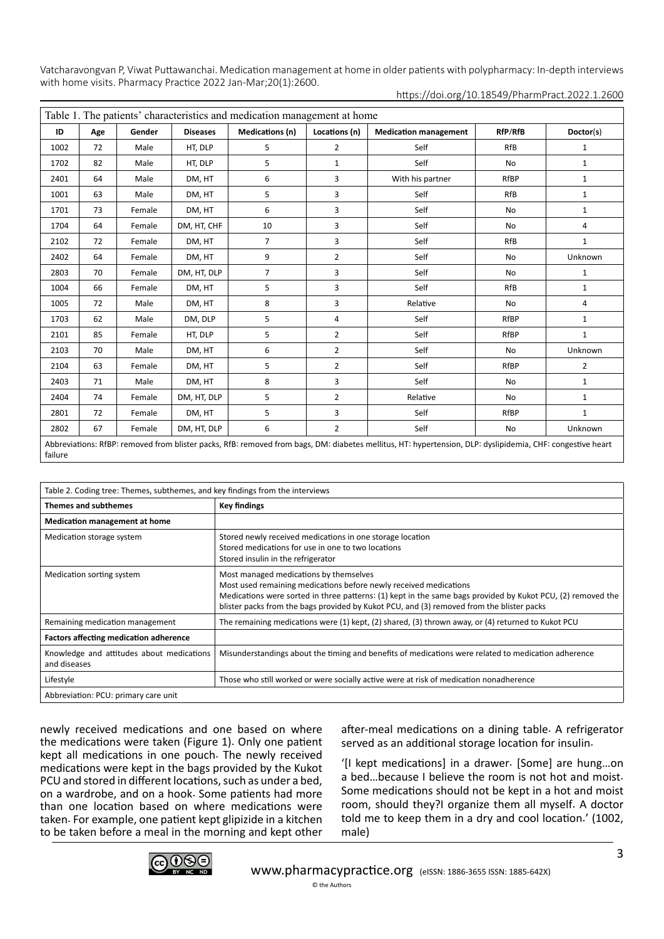| Table 1. The patients' characteristics and medication management at home |     |        |                 |                 |                |                                                                                                                                                            |             |                |
|--------------------------------------------------------------------------|-----|--------|-----------------|-----------------|----------------|------------------------------------------------------------------------------------------------------------------------------------------------------------|-------------|----------------|
| ID                                                                       | Age | Gender | <b>Diseases</b> | Medications (n) | Locations (n)  | <b>Medication management</b>                                                                                                                               | RfP/RfB     | Doctor(s)      |
| 1002                                                                     | 72  | Male   | HT, DLP         | 5               | $\overline{2}$ | Self                                                                                                                                                       | <b>RfB</b>  | $\mathbf{1}$   |
| 1702                                                                     | 82  | Male   | HT, DLP         | 5               | $\mathbf{1}$   | Self                                                                                                                                                       | <b>No</b>   | $\mathbf{1}$   |
| 2401                                                                     | 64  | Male   | DM, HT          | 6               | 3              | With his partner                                                                                                                                           | <b>RfBP</b> | $1\,$          |
| 1001                                                                     | 63  | Male   | DM, HT          | 5               | 3              | Self                                                                                                                                                       | <b>RfB</b>  | $\mathbf{1}$   |
| 1701                                                                     | 73  | Female | DM, HT          | 6               | 3              | Self                                                                                                                                                       | <b>No</b>   | $\mathbf{1}$   |
| 1704                                                                     | 64  | Female | DM, HT, CHF     | 10              | 3              | Self                                                                                                                                                       | <b>No</b>   | 4              |
| 2102                                                                     | 72  | Female | DM, HT          | $\overline{7}$  | 3              | Self                                                                                                                                                       | <b>RfB</b>  | $\mathbf{1}$   |
| 2402                                                                     | 64  | Female | DM, HT          | 9               | $\overline{2}$ | Self                                                                                                                                                       | No          | Unknown        |
| 2803                                                                     | 70  | Female | DM, HT, DLP     | $\overline{7}$  | 3              | Self                                                                                                                                                       | <b>No</b>   | $\mathbf{1}$   |
| 1004                                                                     | 66  | Female | DM, HT          | 5               | 3              | Self                                                                                                                                                       | <b>RfB</b>  | $1\,$          |
| 1005                                                                     | 72  | Male   | DM, HT          | 8               | 3              | Relative                                                                                                                                                   | <b>No</b>   | 4              |
| 1703                                                                     | 62  | Male   | DM, DLP         | 5               | 4              | Self                                                                                                                                                       | RfBP        | $\mathbf{1}$   |
| 2101                                                                     | 85  | Female | HT, DLP         | 5               | $\overline{2}$ | Self                                                                                                                                                       | RfBP        | $\mathbf{1}$   |
| 2103                                                                     | 70  | Male   | DM, HT          | 6               | $\overline{2}$ | Self                                                                                                                                                       | No          | Unknown        |
| 2104                                                                     | 63  | Female | DM, HT          | 5               | $\overline{2}$ | Self                                                                                                                                                       | RfBP        | $\overline{2}$ |
| 2403                                                                     | 71  | Male   | DM, HT          | 8               | 3              | Self                                                                                                                                                       | <b>No</b>   | $1\,$          |
| 2404                                                                     | 74  | Female | DM, HT, DLP     | 5               | $\overline{2}$ | Relative                                                                                                                                                   | No          | $\mathbf{1}$   |
| 2801                                                                     | 72  | Female | DM, HT          | 5               | 3              | Self                                                                                                                                                       | RfBP        | $\mathbf{1}$   |
| 2802                                                                     | 67  | Female | DM, HT, DLP     | 6               | $\overline{2}$ | Self                                                                                                                                                       | <b>No</b>   | Unknown        |
|                                                                          |     |        |                 |                 |                | Abbreviations: RfBP: removed from blister packs, RfB: removed from bags, DM: diabetes mellitus, HT: hypertension, DLP: dyslipidemia, CHF: congestive heart |             |                |

https://doi.org/10.18549/PharmPract.2022.1.2600

failure

| Table 2. Coding tree: Themes, subthemes, and key findings from the interviews |                                                                                                                                                                                                                                                                                                                         |  |  |  |  |  |
|-------------------------------------------------------------------------------|-------------------------------------------------------------------------------------------------------------------------------------------------------------------------------------------------------------------------------------------------------------------------------------------------------------------------|--|--|--|--|--|
| <b>Themes and subthemes</b>                                                   | Key findings                                                                                                                                                                                                                                                                                                            |  |  |  |  |  |
| <b>Medication management at home</b>                                          |                                                                                                                                                                                                                                                                                                                         |  |  |  |  |  |
| Medication storage system                                                     | Stored newly received medications in one storage location<br>Stored medications for use in one to two locations<br>Stored insulin in the refrigerator                                                                                                                                                                   |  |  |  |  |  |
| Medication sorting system                                                     | Most managed medications by themselves<br>Most used remaining medications before newly received medications<br>Medications were sorted in three patterns: (1) kept in the same bags provided by Kukot PCU, (2) removed the<br>blister packs from the bags provided by Kukot PCU, and (3) removed from the blister packs |  |  |  |  |  |
| Remaining medication management                                               | The remaining medications were (1) kept, (2) shared, (3) thrown away, or (4) returned to Kukot PCU                                                                                                                                                                                                                      |  |  |  |  |  |
| <b>Factors affecting medication adherence</b>                                 |                                                                                                                                                                                                                                                                                                                         |  |  |  |  |  |
| Knowledge and attitudes about medications<br>and diseases                     | Misunderstandings about the timing and benefits of medications were related to medication adherence                                                                                                                                                                                                                     |  |  |  |  |  |
| Lifestyle                                                                     | Those who still worked or were socially active were at risk of medication nonadherence                                                                                                                                                                                                                                  |  |  |  |  |  |
| Abbreviation: PCU: primary care unit                                          |                                                                                                                                                                                                                                                                                                                         |  |  |  |  |  |

newly received medications and one based on where the medications were taken (Figure 1). Only one patient kept all medications in one pouch. The newly received medications were kept in the bags provided by the Kukot PCU and stored in different locations, such as under a bed, on a wardrobe, and on a hook. Some patients had more than one location based on where medications were taken. For example, one patient kept glipizide in a kitchen to be taken before a meal in the morning and kept other

after-meal medications on a dining table. A refrigerator served as an additional storage location for insulin.

'[I kept medications] in a drawer. [Some] are hung…on a bed…because I believe the room is not hot and moist. Some medications should not be kept in a hot and moist room, should they?I organize them all myself. A doctor told me to keep them in a dry and cool location.' (1002, male)

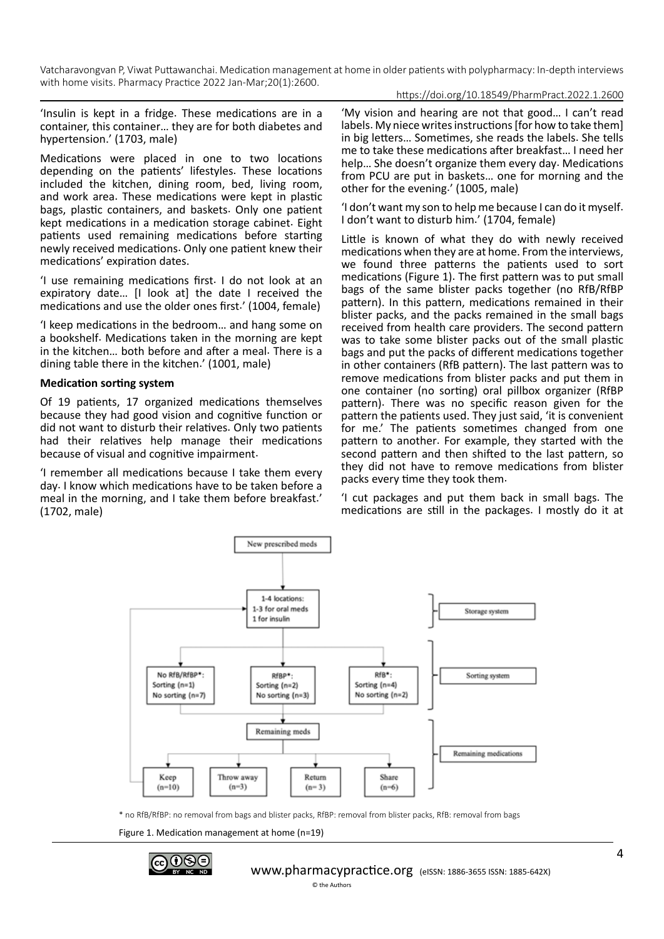https://doi.org/10.18549/PharmPract.2022.1.2600

'Insulin is kept in a fridge. These medications are in a container, this container… they are for both diabetes and hypertension.' (1703, male)

Medications were placed in one to two locations depending on the patients' lifestyles. These locations included the kitchen, dining room, bed, living room, and work area. These medications were kept in plastic bags, plastic containers, and baskets. Only one patient kept medications in a medication storage cabinet. Eight patients used remaining medications before starting newly received medications. Only one patient knew their medications' expiration dates.

'I use remaining medications first. I do not look at an expiratory date… [I look at] the date I received the medications and use the older ones first.' (1004, female)

'I keep medications in the bedroom… and hang some on a bookshelf. Medications taken in the morning are kept in the kitchen… both before and after a meal. There is a dining table there in the kitchen.' (1001, male)

## **Medication sorting system**

Of 19 patients, 17 organized medications themselves because they had good vision and cognitive function or did not want to disturb their relatives. Only two patients had their relatives help manage their medications because of visual and cognitive impairment.

'I remember all medications because I take them every day. I know which medications have to be taken before a meal in the morning, and I take them before breakfast.' (1702, male)

'My vision and hearing are not that good… I can't read labels. My niece writes instructions [for how to take them] in big letters… Sometimes, she reads the labels. She tells me to take these medications after breakfast… I need her help… She doesn't organize them every day. Medications from PCU are put in baskets… one for morning and the other for the evening.' (1005, male)

'I don't want my son to help me because I can do it myself. I don't want to disturb him.' (1704, female)

Little is known of what they do with newly received medications when they are at home. From the interviews, we found three patterns the patients used to sort medications (Figure 1). The first pattern was to put small bags of the same blister packs together (no RfB/RfBP pattern). In this pattern, medications remained in their blister packs, and the packs remained in the small bags received from health care providers. The second pattern was to take some blister packs out of the small plastic bags and put the packs of different medications together in other containers (RfB pattern). The last pattern was to remove medications from blister packs and put them in one container (no sorting) oral pillbox organizer (RfBP pattern). There was no specific reason given for the pattern the patients used. They just said, 'it is convenient for me.' The patients sometimes changed from one pattern to another. For example, they started with the second pattern and then shifted to the last pattern, so they did not have to remove medications from blister packs every time they took them.

'I cut packages and put them back in small bags. The medications are still in the packages. I mostly do it at



\* no RfB/RfBP: no removal from bags and blister packs, RfBP: removal from blister packs, RfB: removal from bags

Figure 1. Medication management at home (n=19)

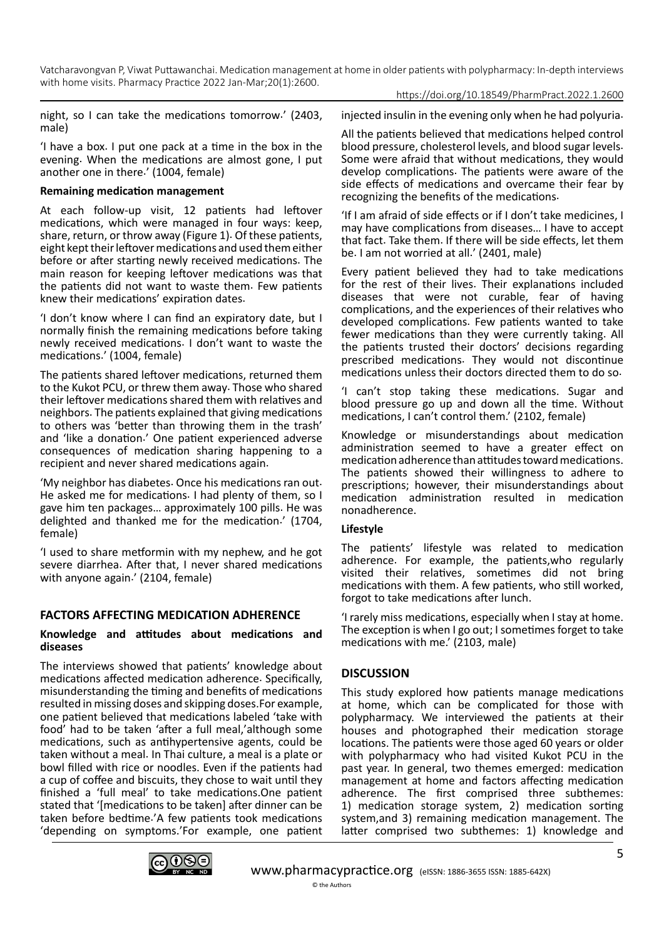https://doi.org/10.18549/PharmPract.2022.1.2600

night, so I can take the medications tomorrow.' (2403, male)

'I have a box. I put one pack at a time in the box in the evening. When the medications are almost gone, I put another one in there.' (1004, female)

## **Remaining medication management**

At each follow-up visit, 12 patients had leftover medications, which were managed in four ways: keep, share, return, or throw away (Figure 1). Of these patients, eight kept their leftover medications and used them either before or after starting newly received medications. The main reason for keeping leftover medications was that the patients did not want to waste them. Few patients knew their medications' expiration dates.

'I don't know where I can find an expiratory date, but I normally finish the remaining medications before taking newly received medications. I don't want to waste the medications.' (1004, female)

The patients shared leftover medications, returned them to the Kukot PCU, or threw them away. Those who shared their leftover medications shared them with relatives and neighbors. The patients explained that giving medications to others was 'better than throwing them in the trash' and 'like a donation.' One patient experienced adverse consequences of medication sharing happening to a recipient and never shared medications again.

'My neighbor has diabetes. Once his medications ran out. He asked me for medications. I had plenty of them, so I gave him ten packages… approximately 100 pills. He was delighted and thanked me for the medication.' (1704, female)

'I used to share metformin with my nephew, and he got severe diarrhea. After that, I never shared medications with anyone again.' (2104, female)

# **FACTORS AFFECTING MEDICATION ADHERENCE**

#### **Knowledge and attitudes about medications and diseases**

The interviews showed that patients' knowledge about medications affected medication adherence. Specifically, misunderstanding the timing and benefits of medications resulted in missing doses and skipping doses.For example, one patient believed that medications labeled 'take with food' had to be taken 'after a full meal,'although some medications, such as antihypertensive agents, could be taken without a meal. In Thai culture, a meal is a plate or bowl filled with rice or noodles. Even if the patients had a cup of coffee and biscuits, they chose to wait until they finished a 'full meal' to take medications.One patient stated that '[medications to be taken] after dinner can be taken before bedtime.'A few patients took medications 'depending on symptoms.'For example, one patient injected insulin in the evening only when he had polyuria.

All the patients believed that medications helped control blood pressure, cholesterol levels, and blood sugar levels. Some were afraid that without medications, they would develop complications. The patients were aware of the side effects of medications and overcame their fear by recognizing the benefits of the medications.

'If I am afraid of side effects or if I don't take medicines, I may have complications from diseases… I have to accept that fact. Take them. If there will be side effects, let them be. I am not worried at all.' (2401, male)

Every patient believed they had to take medications for the rest of their lives. Their explanations included diseases that were not curable, fear of having complications, and the experiences of their relatives who developed complications. Few patients wanted to take fewer medications than they were currently taking. All the patients trusted their doctors' decisions regarding prescribed medications. They would not discontinue medications unless their doctors directed them to do so.

'I can't stop taking these medications. Sugar and blood pressure go up and down all the time. Without medications, I can't control them.' (2102, female)

Knowledge or misunderstandings about medication administration seemed to have a greater effect on medication adherence than attitudes toward medications. The patients showed their willingness to adhere to prescriptions; however, their misunderstandings about medication administration resulted in medication nonadherence.

## **Lifestyle**

The patients' lifestyle was related to medication adherence. For example, the patients,who regularly visited their relatives, sometimes did not bring medications with them. A few patients, who still worked, forgot to take medications after lunch.

'I rarely miss medications, especially when I stay at home. The exception is when I go out; I sometimes forget to take medications with me.' (2103, male)

# **DISCUSSION**

This study explored how patients manage medications at home, which can be complicated for those with polypharmacy. We interviewed the patients at their houses and photographed their medication storage locations. The patients were those aged 60 years or older with polypharmacy who had visited Kukot PCU in the past year. In general, two themes emerged: medication management at home and factors affecting medication adherence. The first comprised three subthemes: 1) medication storage system, 2) medication sorting system,and 3) remaining medication management. The latter comprised two subthemes: 1) knowledge and

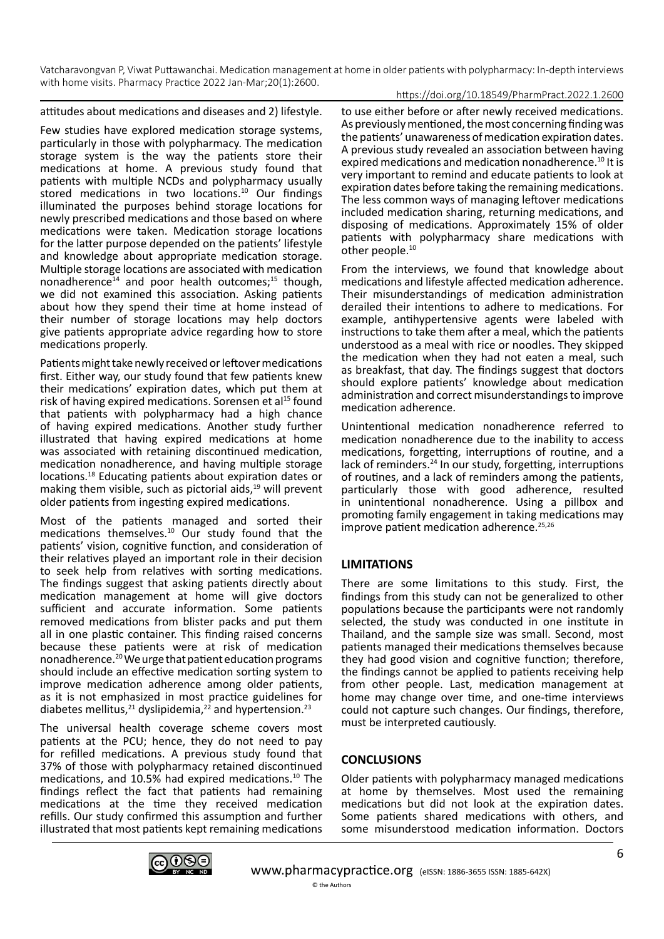#### https://doi.org/10.18549/PharmPract.2022.1.2600

attitudes about medications and diseases and 2) lifestyle.

Few studies have explored medication storage systems, particularly in those with polypharmacy. The medication storage system is the way the patients store their medications at home. A previous study found that patients with multiple NCDs and polypharmacy usually stored medications in two locations.<sup>10</sup> Our findings illuminated the purposes behind storage locations for newly prescribed medications and those based on where medications were taken. Medication storage locations for the latter purpose depended on the patients' lifestyle and knowledge about appropriate medication storage. Multiple storage locations are associated with medication nonadherence $^{14}$  and poor health outcomes; $^{15}$  though, we did not examined this association. Asking patients about how they spend their time at home instead of their number of storage locations may help doctors give patients appropriate advice regarding how to store medications properly.

Patients might take newly received or leftover medications first. Either way, our study found that few patients knew their medications' expiration dates, which put them at risk of having expired medications. Sorensen et al<sup>15</sup> found that patients with polypharmacy had a high chance of having expired medications. Another study further illustrated that having expired medications at home was associated with retaining discontinued medication, medication nonadherence, and having multiple storage locations.18 Educating patients about expiration dates or making them visible, such as pictorial aids, $19$  will prevent older patients from ingesting expired medications.

Most of the patients managed and sorted their medications themselves.10 Our study found that the patients' vision, cognitive function, and consideration of their relatives played an important role in their decision to seek help from relatives with sorting medications. The findings suggest that asking patients directly about medication management at home will give doctors sufficient and accurate information. Some patients removed medications from blister packs and put them all in one plastic container. This finding raised concerns because these patients were at risk of medication nonadherence.20 We urge that patient education programs should include an effective medication sorting system to improve medication adherence among older patients, as it is not emphasized in most practice guidelines for diabetes mellitus,<sup>21</sup> dyslipidemia,<sup>22</sup> and hypertension.<sup>23</sup>

The universal health coverage scheme covers most patients at the PCU; hence, they do not need to pay for refilled medications. A previous study found that 37% of those with polypharmacy retained discontinued medications, and 10.5% had expired medications.10 The findings reflect the fact that patients had remaining medications at the time they received medication refills. Our study confirmed this assumption and further illustrated that most patients kept remaining medications

to use either before or after newly received medications. As previously mentioned, the most concerning finding was the patients' unawareness of medication expiration dates. A previous study revealed an association between having expired medications and medication nonadherence.<sup>10</sup> It is very important to remind and educate patients to look at expiration dates before taking the remaining medications. The less common ways of managing leftover medications included medication sharing, returning medications, and disposing of medications. Approximately 15% of older patients with polypharmacy share medications with other people.<sup>10</sup>

From the interviews, we found that knowledge about medications and lifestyle affected medication adherence. Their misunderstandings of medication administration derailed their intentions to adhere to medications. For example, antihypertensive agents were labeled with instructions to take them after a meal, which the patients understood as a meal with rice or noodles. They skipped the medication when they had not eaten a meal, such as breakfast, that day. The findings suggest that doctors should explore patients' knowledge about medication administration and correct misunderstandings to improve medication adherence.

Unintentional medication nonadherence referred to medication nonadherence due to the inability to access medications, forgetting, interruptions of routine, and a lack of reminders.<sup>24</sup> In our study, forgetting, interruptions of routines, and a lack of reminders among the patients, particularly those with good adherence, resulted in unintentional nonadherence. Using a pillbox and promoting family engagement in taking medications may improve patient medication adherence.<sup>25,26</sup>

# **LIMITATIONS**

There are some limitations to this study. First, the findings from this study can not be generalized to other populations because the participants were not randomly selected, the study was conducted in one institute in Thailand, and the sample size was small. Second, most patients managed their medications themselves because they had good vision and cognitive function; therefore, the findings cannot be applied to patients receiving help from other people. Last, medication management at home may change over time, and one-time interviews could not capture such changes. Our findings, therefore, must be interpreted cautiously.

# **CONCLUSIONS**

Older patients with polypharmacy managed medications at home by themselves. Most used the remaining medications but did not look at the expiration dates. Some patients shared medications with others, and some misunderstood medication information. Doctors

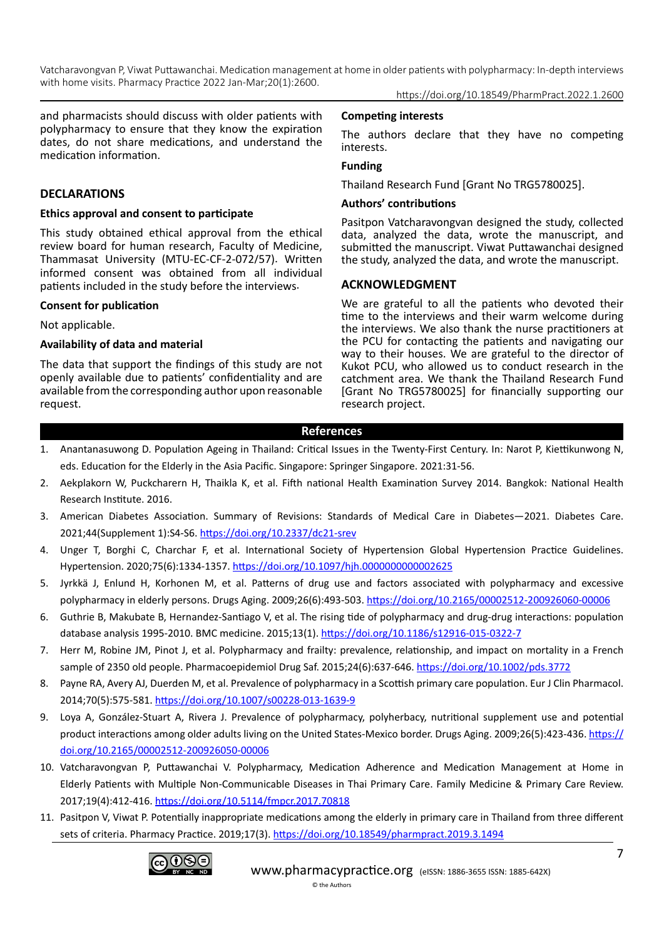and pharmacists should discuss with older patients with polypharmacy to ensure that they know the expiration dates, do not share medications, and understand the medication information.

#### **DECLARATIONS**

#### **Ethics approval and consent to participate**

This study obtained ethical approval from the ethical review board for human research, Faculty of Medicine, Thammasat University (MTU-EC-CF-2-072/57). Written informed consent was obtained from all individual patients included in the study before the interviews.

#### **Consent for publication**

Not applicable.

#### **Availability of data and material**

The data that support the findings of this study are not openly available due to patients' confidentiality and are available from the corresponding author upon reasonable request.

#### **Competing interests**

The authors declare that they have no competing interests.

## **Funding**

Thailand Research Fund [Grant No TRG5780025].

#### **Authors' contributions**

Pasitpon Vatcharavongvan designed the study, collected data, analyzed the data, wrote the manuscript, and submitted the manuscript. Viwat Puttawanchai designed the study, analyzed the data, and wrote the manuscript.

#### **ACKNOWLEDGMENT**

We are grateful to all the patients who devoted their time to the interviews and their warm welcome during the interviews. We also thank the nurse practitioners at the PCU for contacting the patients and navigating our way to their houses. We are grateful to the director of Kukot PCU, who allowed us to conduct research in the catchment area. We thank the Thailand Research Fund [Grant No TRG5780025] for financially supporting our research project.

#### **References**

- 1. Anantanasuwong D. Population Ageing in Thailand: Critical Issues in the Twenty-First Century. In: Narot P, Kiettikunwong N, eds. Education for the Elderly in the Asia Pacific. Singapore: Springer Singapore. 2021:31-56.
- 2. Aekplakorn W, Puckcharern H, Thaikla K, et al. Fifth national Health Examination Survey 2014. Bangkok: National Health Research Institute. 2016.
- 3. American Diabetes Association. Summary of Revisions: Standards of Medical Care in Diabetes—2021. Diabetes Care. 2021;44(Supplement 1):S4-S6.<https://doi.org/10.2337/dc21-srev>
- 4. Unger T, Borghi C, Charchar F, et al. International Society of Hypertension Global Hypertension Practice Guidelines. Hypertension. 2020;75(6):1334-1357. <https://doi.org/10.1097/hjh.0000000000002625>
- 5. Jyrkkä J, Enlund H, Korhonen M, et al. Patterns of drug use and factors associated with polypharmacy and excessive polypharmacy in elderly persons. Drugs Aging. 2009;26(6):493-503. <https://doi.org/10.2165/00002512-200926060-00006>
- 6. Guthrie B, Makubate B, Hernandez-Santiago V, et al. The rising tide of polypharmacy and drug-drug interactions: population database analysis 1995-2010. BMC medicine. 2015;13(1).<https://doi.org/10.1186/s12916-015-0322-7>
- 7. Herr M, Robine JM, Pinot J, et al. Polypharmacy and frailty: prevalence, relationship, and impact on mortality in a French sample of 2350 old people. Pharmacoepidemiol Drug Saf. 2015;24(6):637-646. <https://doi.org/10.1002/pds.3772>
- 8. Payne RA, Avery AJ, Duerden M, et al. Prevalence of polypharmacy in a Scottish primary care population. Eur J Clin Pharmacol. 2014;70(5):575-581.<https://doi.org/10.1007/s00228-013-1639-9>
- 9. Loya A, González-Stuart A, Rivera J. Prevalence of polypharmacy, polyherbacy, nutritional supplement use and potential product interactions among older adults living on the United States-Mexico border. Drugs Aging. 2009;26(5):423-436. [https://](https://doi.org/10.2165/00002512-200926050-00006) [doi.org/10.2165/00002512-200926050-00006](https://doi.org/10.2165/00002512-200926050-00006)
- 10. Vatcharavongvan P, Puttawanchai V. Polypharmacy, Medication Adherence and Medication Management at Home in Elderly Patients with Multiple Non-Communicable Diseases in Thai Primary Care. Family Medicine & Primary Care Review. 2017;19(4):412-416.<https://doi.org/10.5114/fmpcr.2017.70818>
- 11. Pasitpon V, Viwat P. Potentially inappropriate medications among the elderly in primary care in Thailand from three different sets of criteria. Pharmacy Practice. 2019;17(3).<https://doi.org/10.18549/pharmpract.2019.3.1494>